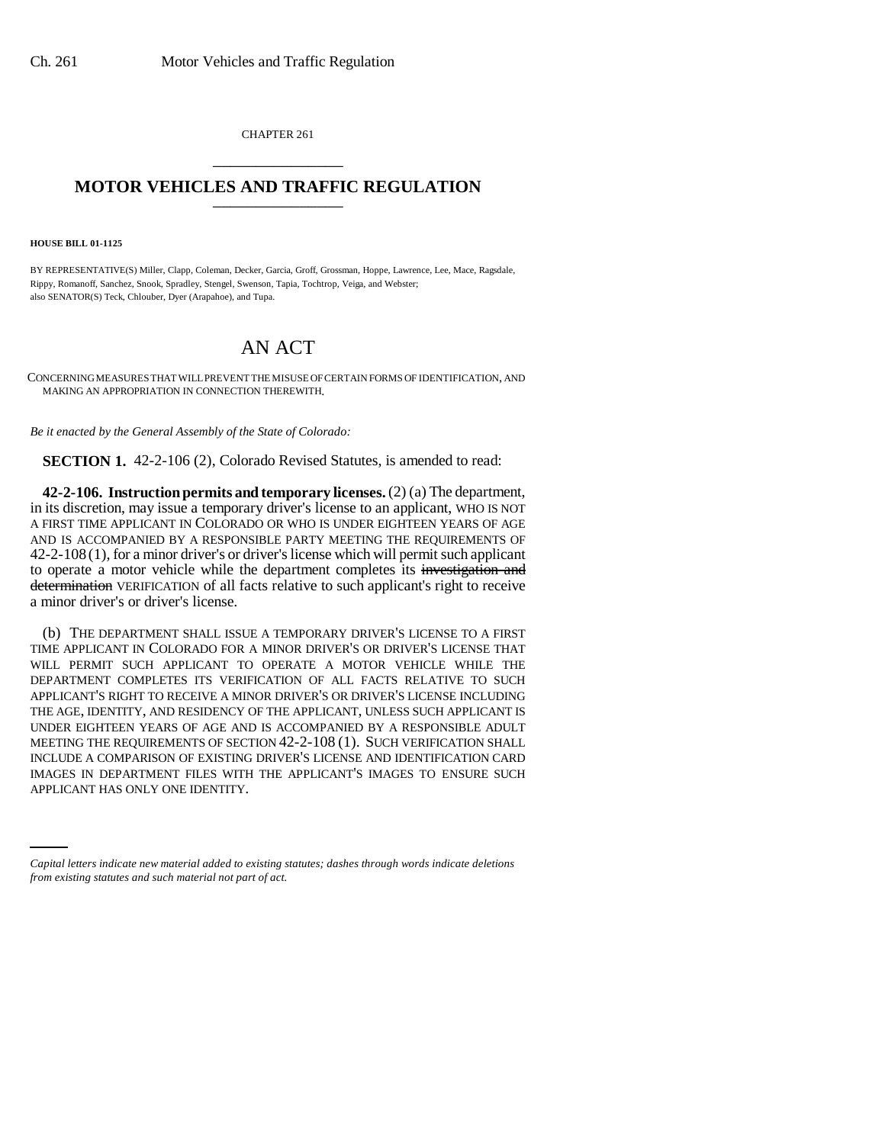CHAPTER 261 \_\_\_\_\_\_\_\_\_\_\_\_\_\_\_

## **MOTOR VEHICLES AND TRAFFIC REGULATION** \_\_\_\_\_\_\_\_\_\_\_\_\_\_\_

**HOUSE BILL 01-1125**

BY REPRESENTATIVE(S) Miller, Clapp, Coleman, Decker, Garcia, Groff, Grossman, Hoppe, Lawrence, Lee, Mace, Ragsdale, Rippy, Romanoff, Sanchez, Snook, Spradley, Stengel, Swenson, Tapia, Tochtrop, Veiga, and Webster; also SENATOR(S) Teck, Chlouber, Dyer (Arapahoe), and Tupa.

## AN ACT

CONCERNING MEASURES THAT WILL PREVENT THE MISUSE OF CERTAIN FORMS OF IDENTIFICATION, AND MAKING AN APPROPRIATION IN CONNECTION THEREWITH.

*Be it enacted by the General Assembly of the State of Colorado:*

**SECTION 1.** 42-2-106 (2), Colorado Revised Statutes, is amended to read:

**42-2-106. Instruction permits and temporary licenses.** (2) (a) The department, in its discretion, may issue a temporary driver's license to an applicant, WHO IS NOT A FIRST TIME APPLICANT IN COLORADO OR WHO IS UNDER EIGHTEEN YEARS OF AGE AND IS ACCOMPANIED BY A RESPONSIBLE PARTY MEETING THE REQUIREMENTS OF 42-2-108 (1), for a minor driver's or driver's license which will permit such applicant to operate a motor vehicle while the department completes its investigation and determination VERIFICATION of all facts relative to such applicant's right to receive a minor driver's or driver's license.

IMAGES IN DEPARTMENT FILES WITH THE APPLICANT'S IMAGES TO ENSURE SUCH (b) THE DEPARTMENT SHALL ISSUE A TEMPORARY DRIVER'S LICENSE TO A FIRST TIME APPLICANT IN COLORADO FOR A MINOR DRIVER'S OR DRIVER'S LICENSE THAT WILL PERMIT SUCH APPLICANT TO OPERATE A MOTOR VEHICLE WHILE THE DEPARTMENT COMPLETES ITS VERIFICATION OF ALL FACTS RELATIVE TO SUCH APPLICANT'S RIGHT TO RECEIVE A MINOR DRIVER'S OR DRIVER'S LICENSE INCLUDING THE AGE, IDENTITY, AND RESIDENCY OF THE APPLICANT, UNLESS SUCH APPLICANT IS UNDER EIGHTEEN YEARS OF AGE AND IS ACCOMPANIED BY A RESPONSIBLE ADULT MEETING THE REQUIREMENTS OF SECTION 42-2-108 (1). SUCH VERIFICATION SHALL INCLUDE A COMPARISON OF EXISTING DRIVER'S LICENSE AND IDENTIFICATION CARD APPLICANT HAS ONLY ONE IDENTITY.

*Capital letters indicate new material added to existing statutes; dashes through words indicate deletions from existing statutes and such material not part of act.*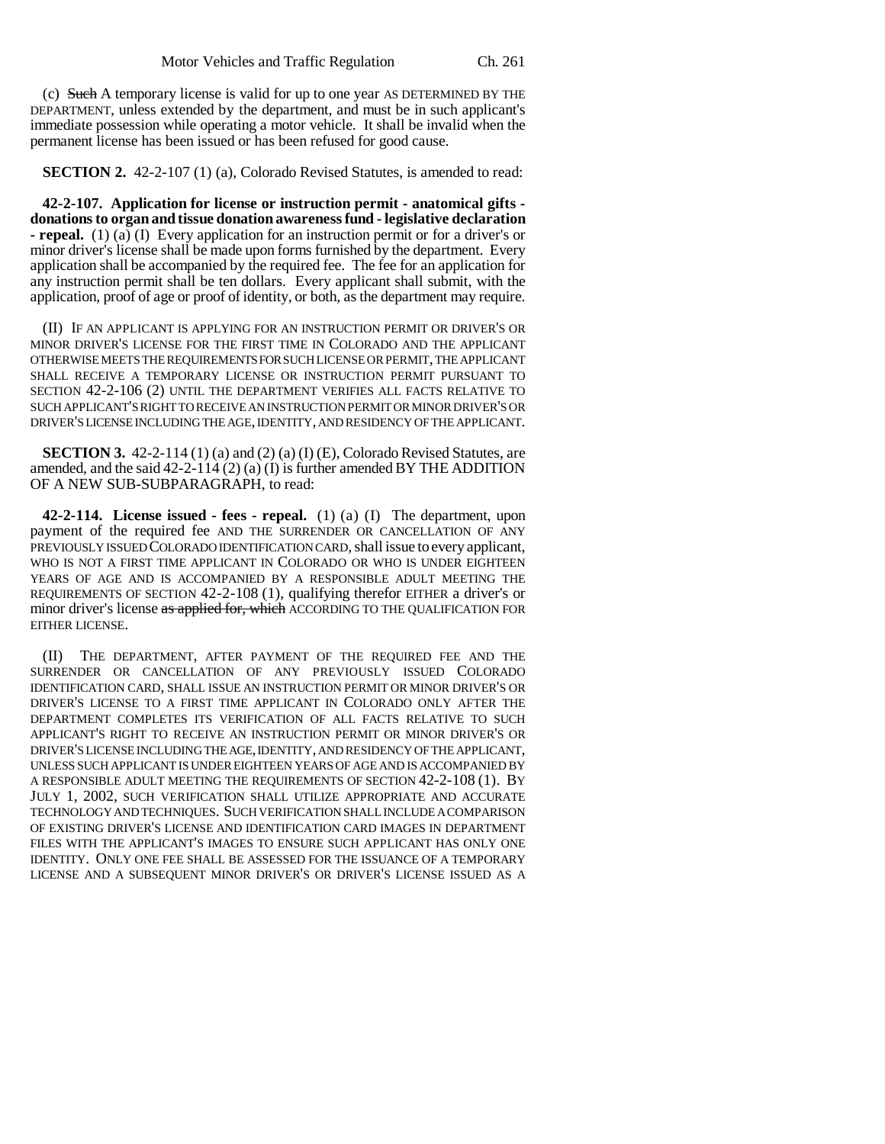(c) Such A temporary license is valid for up to one year AS DETERMINED BY THE DEPARTMENT, unless extended by the department, and must be in such applicant's immediate possession while operating a motor vehicle. It shall be invalid when the permanent license has been issued or has been refused for good cause.

**SECTION 2.** 42-2-107 (1) (a), Colorado Revised Statutes, is amended to read:

**42-2-107. Application for license or instruction permit - anatomical gifts donations to organ and tissue donation awareness fund - legislative declaration - repeal.** (1) (a) (I) Every application for an instruction permit or for a driver's or minor driver's license shall be made upon forms furnished by the department. Every application shall be accompanied by the required fee. The fee for an application for any instruction permit shall be ten dollars. Every applicant shall submit, with the application, proof of age or proof of identity, or both, as the department may require.

(II) IF AN APPLICANT IS APPLYING FOR AN INSTRUCTION PERMIT OR DRIVER'S OR MINOR DRIVER'S LICENSE FOR THE FIRST TIME IN COLORADO AND THE APPLICANT OTHERWISE MEETS THE REQUIREMENTS FOR SUCH LICENSE OR PERMIT, THE APPLICANT SHALL RECEIVE A TEMPORARY LICENSE OR INSTRUCTION PERMIT PURSUANT TO SECTION 42-2-106 (2) UNTIL THE DEPARTMENT VERIFIES ALL FACTS RELATIVE TO SUCH APPLICANT'S RIGHT TO RECEIVE AN INSTRUCTION PERMIT OR MINOR DRIVER'S OR DRIVER'S LICENSE INCLUDING THE AGE, IDENTITY, AND RESIDENCY OF THE APPLICANT.

**SECTION 3.** 42-2-114 (1) (a) and (2) (a) (I) (E), Colorado Revised Statutes, are amended, and the said  $42-2-114$  (2) (a) (I) is further amended BY THE ADDITION OF A NEW SUB-SUBPARAGRAPH, to read:

**42-2-114. License issued - fees - repeal.** (1) (a) (I) The department, upon payment of the required fee AND THE SURRENDER OR CANCELLATION OF ANY PREVIOUSLY ISSUED COLORADO IDENTIFICATION CARD, shall issue to every applicant, WHO IS NOT A FIRST TIME APPLICANT IN COLORADO OR WHO IS UNDER EIGHTEEN YEARS OF AGE AND IS ACCOMPANIED BY A RESPONSIBLE ADULT MEETING THE REQUIREMENTS OF SECTION 42-2-108 (1), qualifying therefor EITHER a driver's or minor driver's license as applied for, which ACCORDING TO THE QUALIFICATION FOR EITHER LICENSE.

(II) THE DEPARTMENT, AFTER PAYMENT OF THE REQUIRED FEE AND THE SURRENDER OR CANCELLATION OF ANY PREVIOUSLY ISSUED COLORADO IDENTIFICATION CARD, SHALL ISSUE AN INSTRUCTION PERMIT OR MINOR DRIVER'S OR DRIVER'S LICENSE TO A FIRST TIME APPLICANT IN COLORADO ONLY AFTER THE DEPARTMENT COMPLETES ITS VERIFICATION OF ALL FACTS RELATIVE TO SUCH APPLICANT'S RIGHT TO RECEIVE AN INSTRUCTION PERMIT OR MINOR DRIVER'S OR DRIVER'S LICENSE INCLUDING THE AGE, IDENTITY, AND RESIDENCY OF THE APPLICANT, UNLESS SUCH APPLICANT IS UNDER EIGHTEEN YEARS OF AGE AND IS ACCOMPANIED BY A RESPONSIBLE ADULT MEETING THE REQUIREMENTS OF SECTION 42-2-108 (1). BY JULY 1, 2002, SUCH VERIFICATION SHALL UTILIZE APPROPRIATE AND ACCURATE TECHNOLOGY AND TECHNIQUES. SUCH VERIFICATION SHALL INCLUDE A COMPARISON OF EXISTING DRIVER'S LICENSE AND IDENTIFICATION CARD IMAGES IN DEPARTMENT FILES WITH THE APPLICANT'S IMAGES TO ENSURE SUCH APPLICANT HAS ONLY ONE IDENTITY. ONLY ONE FEE SHALL BE ASSESSED FOR THE ISSUANCE OF A TEMPORARY LICENSE AND A SUBSEQUENT MINOR DRIVER'S OR DRIVER'S LICENSE ISSUED AS A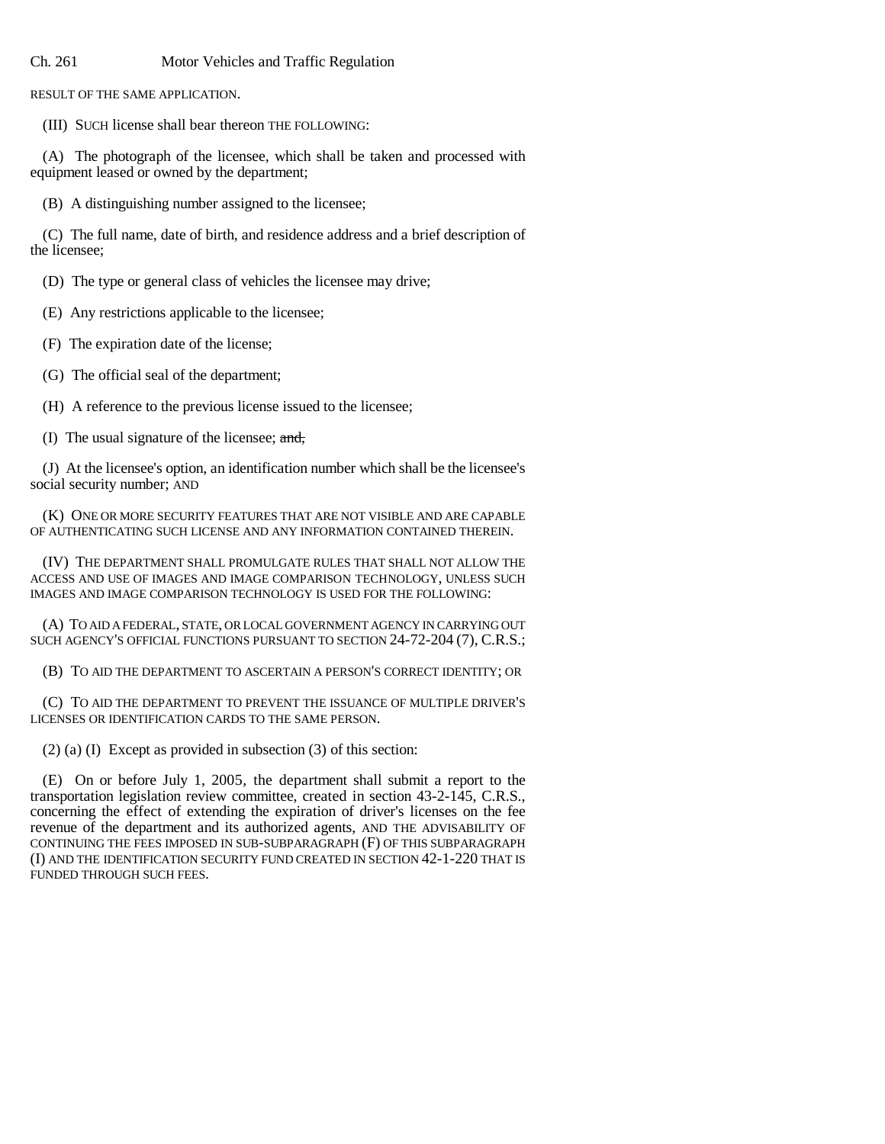## Ch. 261 Motor Vehicles and Traffic Regulation

RESULT OF THE SAME APPLICATION.

(III) SUCH license shall bear thereon THE FOLLOWING:

(A) The photograph of the licensee, which shall be taken and processed with equipment leased or owned by the department;

(B) A distinguishing number assigned to the licensee;

(C) The full name, date of birth, and residence address and a brief description of the licensee;

(D) The type or general class of vehicles the licensee may drive;

(E) Any restrictions applicable to the licensee;

(F) The expiration date of the license;

(G) The official seal of the department;

(H) A reference to the previous license issued to the licensee;

(I) The usual signature of the licensee; and,

(J) At the licensee's option, an identification number which shall be the licensee's social security number; AND

(K) ONE OR MORE SECURITY FEATURES THAT ARE NOT VISIBLE AND ARE CAPABLE OF AUTHENTICATING SUCH LICENSE AND ANY INFORMATION CONTAINED THEREIN.

(IV) THE DEPARTMENT SHALL PROMULGATE RULES THAT SHALL NOT ALLOW THE ACCESS AND USE OF IMAGES AND IMAGE COMPARISON TECHNOLOGY, UNLESS SUCH IMAGES AND IMAGE COMPARISON TECHNOLOGY IS USED FOR THE FOLLOWING:

(A) TO AID A FEDERAL, STATE, OR LOCAL GOVERNMENT AGENCY IN CARRYING OUT SUCH AGENCY'S OFFICIAL FUNCTIONS PURSUANT TO SECTION 24-72-204 (7), C.R.S.;

(B) TO AID THE DEPARTMENT TO ASCERTAIN A PERSON'S CORRECT IDENTITY; OR

(C) TO AID THE DEPARTMENT TO PREVENT THE ISSUANCE OF MULTIPLE DRIVER'S LICENSES OR IDENTIFICATION CARDS TO THE SAME PERSON.

(2) (a) (I) Except as provided in subsection (3) of this section:

(E) On or before July 1, 2005, the department shall submit a report to the transportation legislation review committee, created in section 43-2-145, C.R.S., concerning the effect of extending the expiration of driver's licenses on the fee revenue of the department and its authorized agents, AND THE ADVISABILITY OF CONTINUING THE FEES IMPOSED IN SUB-SUBPARAGRAPH (F) OF THIS SUBPARAGRAPH (I) AND THE IDENTIFICATION SECURITY FUND CREATED IN SECTION 42-1-220 THAT IS FUNDED THROUGH SUCH FEES.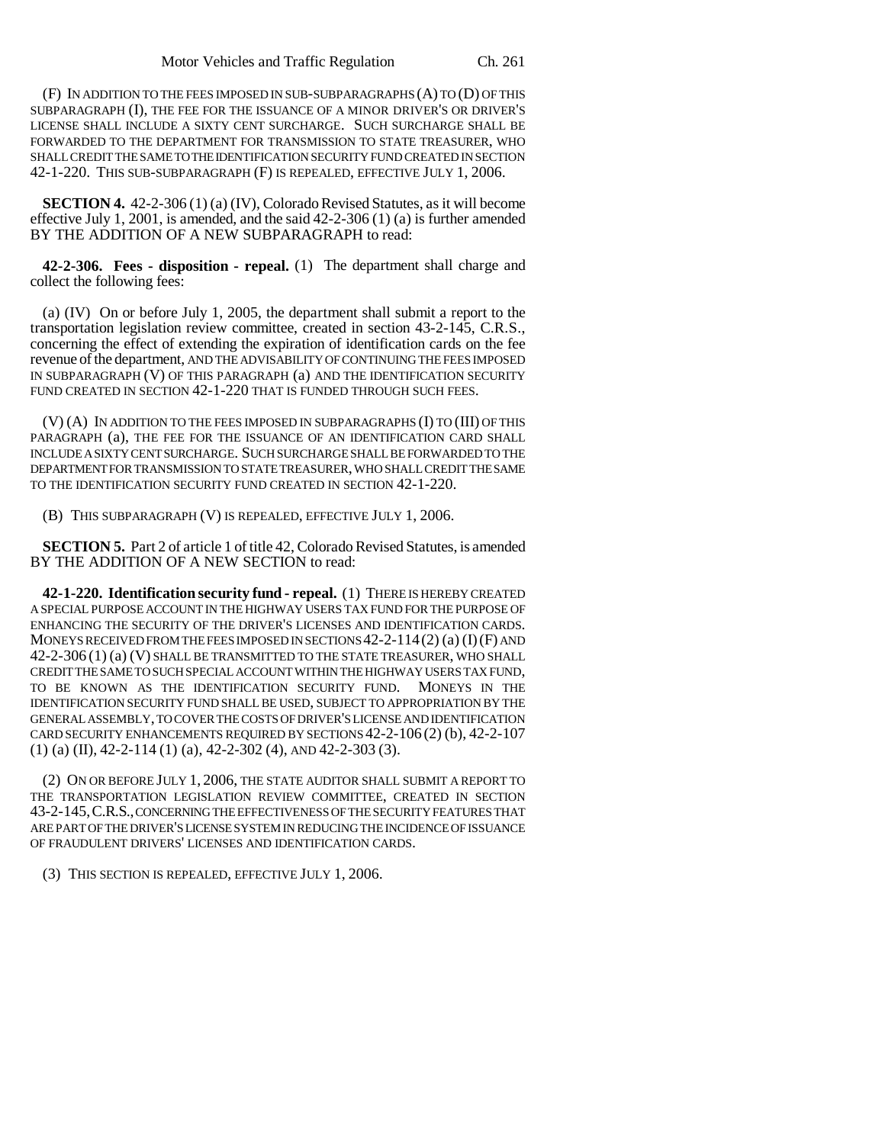(F) IN ADDITION TO THE FEES IMPOSED IN SUB-SUBPARAGRAPHS (A) TO (D) OF THIS SUBPARAGRAPH (I), THE FEE FOR THE ISSUANCE OF A MINOR DRIVER'S OR DRIVER'S LICENSE SHALL INCLUDE A SIXTY CENT SURCHARGE. SUCH SURCHARGE SHALL BE FORWARDED TO THE DEPARTMENT FOR TRANSMISSION TO STATE TREASURER, WHO SHALL CREDIT THE SAME TO THE IDENTIFICATION SECURITY FUND CREATED IN SECTION 42-1-220. THIS SUB-SUBPARAGRAPH (F) IS REPEALED, EFFECTIVE JULY 1, 2006.

**SECTION 4.** 42-2-306 (1) (a) (IV), Colorado Revised Statutes, as it will become effective July 1, 2001, is amended, and the said 42-2-306 (1) (a) is further amended BY THE ADDITION OF A NEW SUBPARAGRAPH to read:

**42-2-306. Fees - disposition - repeal.** (1) The department shall charge and collect the following fees:

(a) (IV) On or before July 1, 2005, the department shall submit a report to the transportation legislation review committee, created in section 43-2-145, C.R.S., concerning the effect of extending the expiration of identification cards on the fee revenue of the department, AND THE ADVISABILITY OF CONTINUING THE FEES IMPOSED IN SUBPARAGRAPH (V) OF THIS PARAGRAPH (a) AND THE IDENTIFICATION SECURITY FUND CREATED IN SECTION 42-1-220 THAT IS FUNDED THROUGH SUCH FEES.

(V) (A) IN ADDITION TO THE FEES IMPOSED IN SUBPARAGRAPHS (I) TO (III) OF THIS PARAGRAPH (a), THE FEE FOR THE ISSUANCE OF AN IDENTIFICATION CARD SHALL INCLUDE A SIXTY CENT SURCHARGE. SUCH SURCHARGE SHALL BE FORWARDED TO THE DEPARTMENT FOR TRANSMISSION TO STATE TREASURER, WHO SHALL CREDIT THE SAME TO THE IDENTIFICATION SECURITY FUND CREATED IN SECTION 42-1-220.

(B) THIS SUBPARAGRAPH (V) IS REPEALED, EFFECTIVE JULY 1, 2006.

**SECTION 5.** Part 2 of article 1 of title 42, Colorado Revised Statutes, is amended BY THE ADDITION OF A NEW SECTION to read:

**42-1-220. Identification security fund - repeal.** (1) THERE IS HEREBY CREATED A SPECIAL PURPOSE ACCOUNT IN THE HIGHWAY USERS TAX FUND FOR THE PURPOSE OF ENHANCING THE SECURITY OF THE DRIVER'S LICENSES AND IDENTIFICATION CARDS. MONEYS RECEIVED FROM THE FEES IMPOSED IN SECTIONS  $42-2-114(2)$  (a) (I) (F) AND 42-2-306 (1) (a) (V) SHALL BE TRANSMITTED TO THE STATE TREASURER, WHO SHALL CREDIT THE SAME TO SUCH SPECIAL ACCOUNT WITHIN THE HIGHWAY USERS TAX FUND, TO BE KNOWN AS THE IDENTIFICATION SECURITY FUND. MONEYS IN THE IDENTIFICATION SECURITY FUND SHALL BE USED, SUBJECT TO APPROPRIATION BY THE GENERAL ASSEMBLY, TO COVER THE COSTS OF DRIVER'S LICENSE AND IDENTIFICATION CARD SECURITY ENHANCEMENTS REQUIRED BY SECTIONS 42-2-106 (2) (b), 42-2-107  $(1)$  (a) (II), 42-2-114 (1) (a), 42-2-302 (4), AND 42-2-303 (3).

(2) ON OR BEFORE JULY 1, 2006, THE STATE AUDITOR SHALL SUBMIT A REPORT TO THE TRANSPORTATION LEGISLATION REVIEW COMMITTEE, CREATED IN SECTION 43-2-145,C.R.S., CONCERNING THE EFFECTIVENESS OF THE SECURITY FEATURES THAT ARE PART OF THE DRIVER'S LICENSE SYSTEM IN REDUCING THE INCIDENCE OF ISSUANCE OF FRAUDULENT DRIVERS' LICENSES AND IDENTIFICATION CARDS.

(3) THIS SECTION IS REPEALED, EFFECTIVE JULY 1, 2006.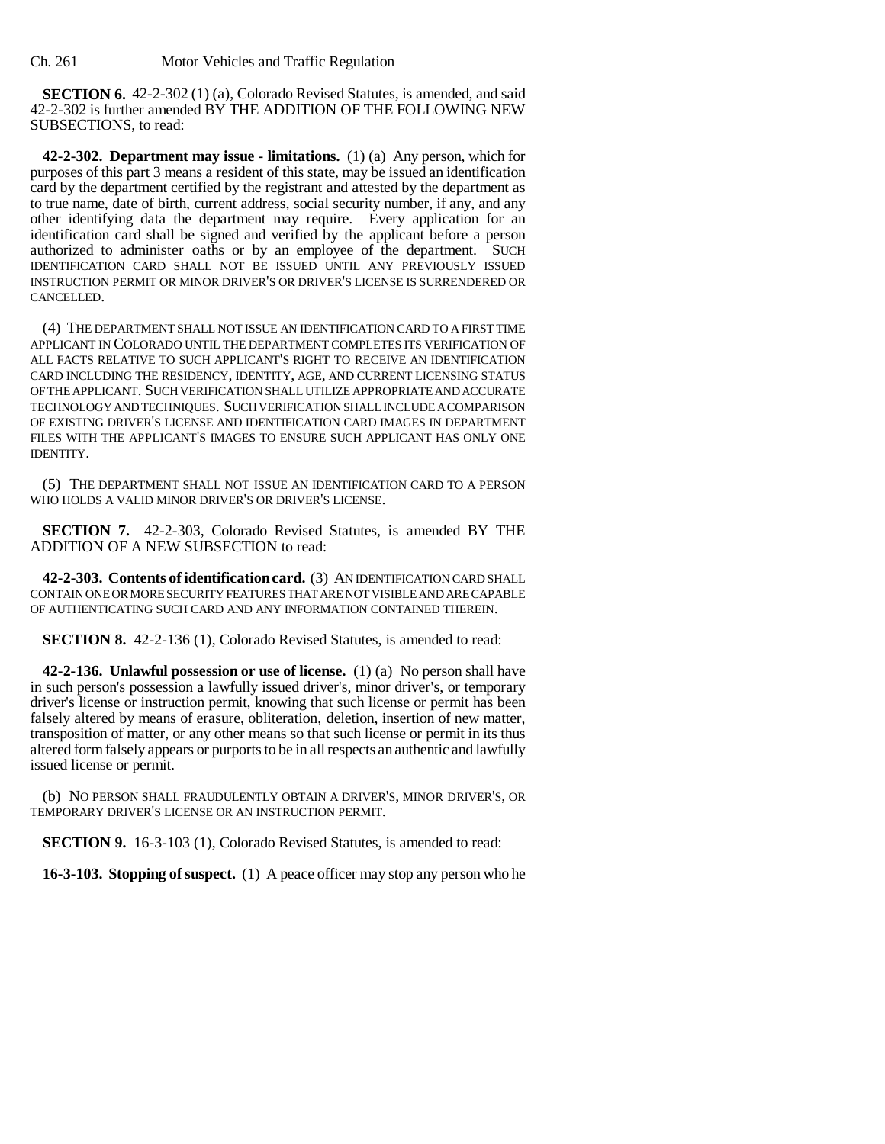**SECTION 6.** 42-2-302 (1) (a), Colorado Revised Statutes, is amended, and said 42-2-302 is further amended BY THE ADDITION OF THE FOLLOWING NEW SUBSECTIONS, to read:

**42-2-302. Department may issue - limitations.** (1) (a) Any person, which for purposes of this part 3 means a resident of this state, may be issued an identification card by the department certified by the registrant and attested by the department as to true name, date of birth, current address, social security number, if any, and any other identifying data the department may require. Every application for an identification card shall be signed and verified by the applicant before a person authorized to administer oaths or by an employee of the department. SUCH IDENTIFICATION CARD SHALL NOT BE ISSUED UNTIL ANY PREVIOUSLY ISSUED INSTRUCTION PERMIT OR MINOR DRIVER'S OR DRIVER'S LICENSE IS SURRENDERED OR CANCELLED.

(4) THE DEPARTMENT SHALL NOT ISSUE AN IDENTIFICATION CARD TO A FIRST TIME APPLICANT IN COLORADO UNTIL THE DEPARTMENT COMPLETES ITS VERIFICATION OF ALL FACTS RELATIVE TO SUCH APPLICANT'S RIGHT TO RECEIVE AN IDENTIFICATION CARD INCLUDING THE RESIDENCY, IDENTITY, AGE, AND CURRENT LICENSING STATUS OF THE APPLICANT. SUCH VERIFICATION SHALL UTILIZE APPROPRIATE AND ACCURATE TECHNOLOGY AND TECHNIQUES. SUCH VERIFICATION SHALL INCLUDE A COMPARISON OF EXISTING DRIVER'S LICENSE AND IDENTIFICATION CARD IMAGES IN DEPARTMENT FILES WITH THE APPLICANT'S IMAGES TO ENSURE SUCH APPLICANT HAS ONLY ONE IDENTITY.

(5) THE DEPARTMENT SHALL NOT ISSUE AN IDENTIFICATION CARD TO A PERSON WHO HOLDS A VALID MINOR DRIVER'S OR DRIVER'S LICENSE.

**SECTION 7.** 42-2-303, Colorado Revised Statutes, is amended BY THE ADDITION OF A NEW SUBSECTION to read:

**42-2-303. Contents of identification card.** (3) AN IDENTIFICATION CARD SHALL CONTAIN ONE OR MORE SECURITY FEATURES THAT ARE NOT VISIBLE AND ARE CAPABLE OF AUTHENTICATING SUCH CARD AND ANY INFORMATION CONTAINED THEREIN.

**SECTION 8.** 42-2-136 (1), Colorado Revised Statutes, is amended to read:

**42-2-136. Unlawful possession or use of license.** (1) (a) No person shall have in such person's possession a lawfully issued driver's, minor driver's, or temporary driver's license or instruction permit, knowing that such license or permit has been falsely altered by means of erasure, obliteration, deletion, insertion of new matter, transposition of matter, or any other means so that such license or permit in its thus altered form falsely appears or purports to be in all respects an authentic and lawfully issued license or permit.

(b) NO PERSON SHALL FRAUDULENTLY OBTAIN A DRIVER'S, MINOR DRIVER'S, OR TEMPORARY DRIVER'S LICENSE OR AN INSTRUCTION PERMIT.

**SECTION 9.** 16-3-103 (1), Colorado Revised Statutes, is amended to read:

**16-3-103. Stopping of suspect.** (1) A peace officer may stop any person who he